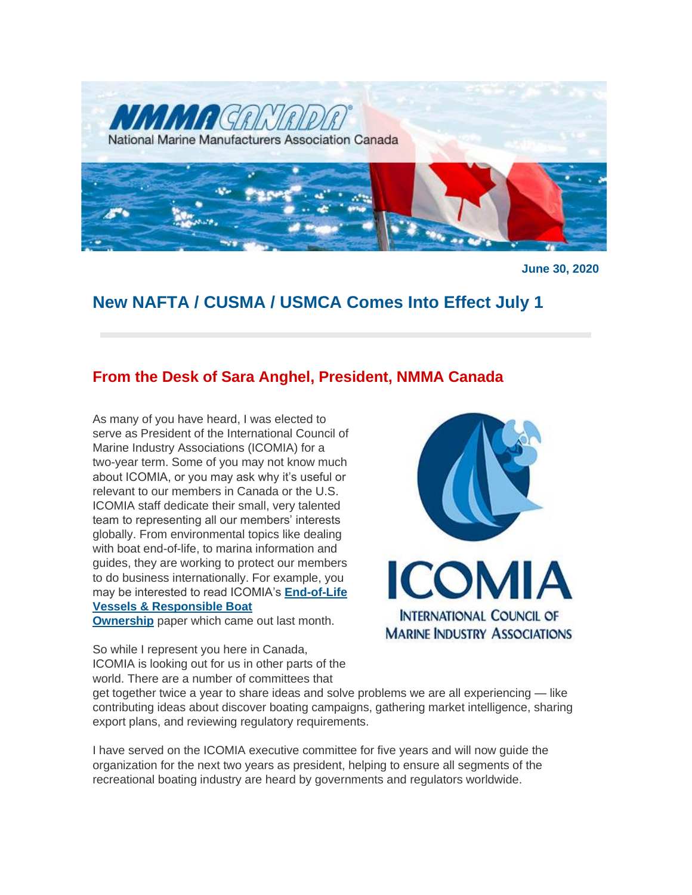

**June 30, 2020**

# **New NAFTA / CUSMA / USMCA Comes Into Effect July 1**

## **From the Desk of Sara Anghel, President, NMMA Canada**

As many of you have heard, I was elected to serve as President of the International Council of Marine Industry Associations (ICOMIA) for a two-year term. Some of you may not know much about ICOMIA, or you may ask why it's useful or relevant to our members in Canada or the U.S. ICOMIA staff dedicate their small, very talented team to representing all our members' interests globally. From environmental topics like dealing with boat end-of-life, to marina information and guides, they are working to protect our members to do business internationally. For example, you may be interested to read ICOMIA's **[End-of-Life](http://nmma.net/assets/cabinets/Cabinet486/ICOMIA%20End%20of%20Life%20Boats%20Policy%20Paper%20Edition%202.pdf)  [Vessels & Responsible Boat](http://nmma.net/assets/cabinets/Cabinet486/ICOMIA%20End%20of%20Life%20Boats%20Policy%20Paper%20Edition%202.pdf)** 

**[Ownership](http://nmma.net/assets/cabinets/Cabinet486/ICOMIA%20End%20of%20Life%20Boats%20Policy%20Paper%20Edition%202.pdf)** paper which came out last month.

So while I represent you here in Canada, ICOMIA is looking out for us in other parts of the world. There are a number of committees that



get together twice a year to share ideas and solve problems we are all experiencing — like contributing ideas about discover boating campaigns, gathering market intelligence, sharing export plans, and reviewing regulatory requirements.

I have served on the ICOMIA executive committee for five years and will now guide the organization for the next two years as president, helping to ensure all segments of the recreational boating industry are heard by governments and regulators worldwide.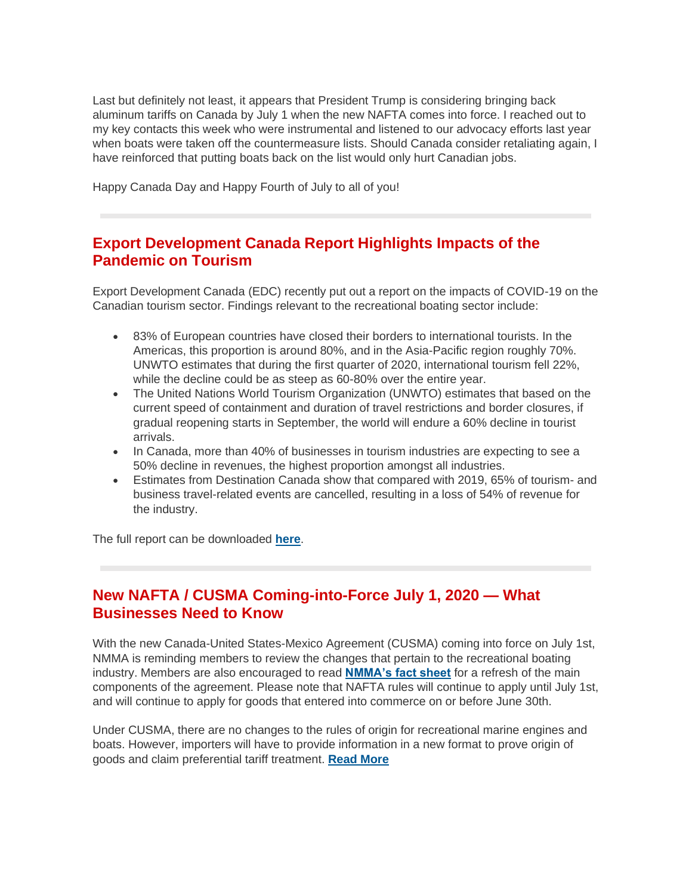Last but definitely not least, it appears that President Trump is considering bringing back aluminum tariffs on Canada by July 1 when the new NAFTA comes into force. I reached out to my key contacts this week who were instrumental and listened to our advocacy efforts last year when boats were taken off the countermeasure lists. Should Canada consider retaliating again, I have reinforced that putting boats back on the list would only hurt Canadian jobs.

Happy Canada Day and Happy Fourth of July to all of you!

# **Export Development Canada Report Highlights Impacts of the Pandemic on Tourism**

Export Development Canada (EDC) recently put out a report on the impacts of COVID-19 on the Canadian tourism sector. Findings relevant to the recreational boating sector include:

- 83% of European countries have closed their borders to international tourists. In the Americas, this proportion is around 80%, and in the Asia-Pacific region roughly 70%. UNWTO estimates that during the first quarter of 2020, international tourism fell 22%, while the decline could be as steep as 60-80% over the entire year.
- The United Nations World Tourism Organization (UNWTO) estimates that based on the current speed of containment and duration of travel restrictions and border closures, if gradual reopening starts in September, the world will endure a 60% decline in tourist arrivals.
- In Canada, more than 40% of businesses in tourism industries are expecting to see a 50% decline in revenues, the highest proportion amongst all industries.
- Estimates from Destination Canada show that compared with 2019, 65% of tourism- and business travel-related events are cancelled, resulting in a loss of 54% of revenue for the industry.

The full report can be downloaded **[here](http://nmma.net/assets/cabinets/Cabinet488/EDC%20-%20covid-19-tourism-sector-crisis.pdf)**.

# **New NAFTA / CUSMA Coming-into-Force July 1, 2020 — What Businesses Need to Know**

With the new Canada-United States-Mexico Agreement (CUSMA) coming into force on July 1st, NMMA is reminding members to review the changes that pertain to the recreational boating industry. Members are also encouraged to read **[NMMA's fact sheet](http://www.nmma.net/assets/cabinets/Cabinet517/NMMA_USMCA_One-Pager.pdf)** for a refresh of the main components of the agreement. Please note that NAFTA rules will continue to apply until July 1st, and will continue to apply for goods that entered into commerce on or before June 30th.

Under CUSMA, there are no changes to the rules of origin for recreational marine engines and boats. However, importers will have to provide information in a new format to prove origin of goods and claim preferential tariff treatment. **[Read More](https://www.nmma.ca/press/article/23313)**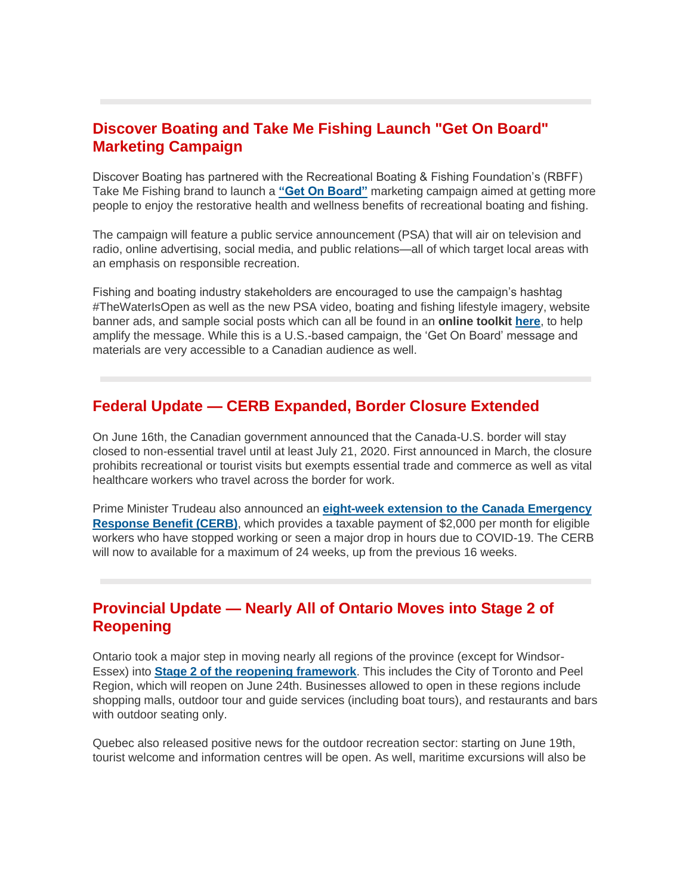# **Discover Boating and Take Me Fishing Launch "Get On Board" Marketing Campaign**

Discover Boating has partnered with the Recreational Boating & Fishing Foundation's (RBFF) Take Me Fishing brand to launch a **["Get On Board"](https://www.youtube.com/watch?v=qK-MgBqWUzk&feature=emb_logo)** marketing campaign aimed at getting more people to enjoy the restorative health and wellness benefits of recreational boating and fishing.

The campaign will feature a public service announcement (PSA) that will air on television and radio, online advertising, social media, and public relations—all of which target local areas with an emphasis on responsible recreation.

Fishing and boating industry stakeholders are encouraged to use the campaign's hashtag #TheWaterIsOpen as well as the new PSA video, boating and fishing lifestyle imagery, website banner ads, and sample social posts which can all be found in an **online toolkit [here](https://www.growboating.org/get-on-board-toolkit.aspx)**, to help amplify the message. While this is a U.S.-based campaign, the 'Get On Board' message and materials are very accessible to a Canadian audience as well.

#### **Federal Update — CERB Expanded, Border Closure Extended**

On June 16th, the Canadian government announced that the Canada-U.S. border will stay closed to non-essential travel until at least July 21, 2020. First announced in March, the closure prohibits recreational or tourist visits but exempts essential trade and commerce as well as vital healthcare workers who travel across the border for work.

Prime Minister Trudeau also announced an **[eight-week extension to the Canada Emergency](https://pm.gc.ca/en/news/news-releases/2020/06/16/prime-minister-announces-extension-canada-emergency-response-benefit)  [Response Benefit \(CERB\)](https://pm.gc.ca/en/news/news-releases/2020/06/16/prime-minister-announces-extension-canada-emergency-response-benefit)**, which provides a taxable payment of \$2,000 per month for eligible workers who have stopped working or seen a major drop in hours due to COVID-19. The CERB will now to available for a maximum of 24 weeks, up from the previous 16 weeks.

## **Provincial Update — Nearly All of Ontario Moves into Stage 2 of Reopening**

Ontario took a major step in moving nearly all regions of the province (except for Windsor-Essex) into **[Stage 2 of the reopening framework](https://www.ontario.ca/page/framework-reopening-our-province-stage-2)**. This includes the City of Toronto and Peel Region, which will reopen on June 24th. Businesses allowed to open in these regions include shopping malls, outdoor tour and guide services (including boat tours), and restaurants and bars with outdoor seating only.

Quebec also released positive news for the outdoor recreation sector: starting on June 19th, tourist welcome and information centres will be open. As well, maritime excursions will also be